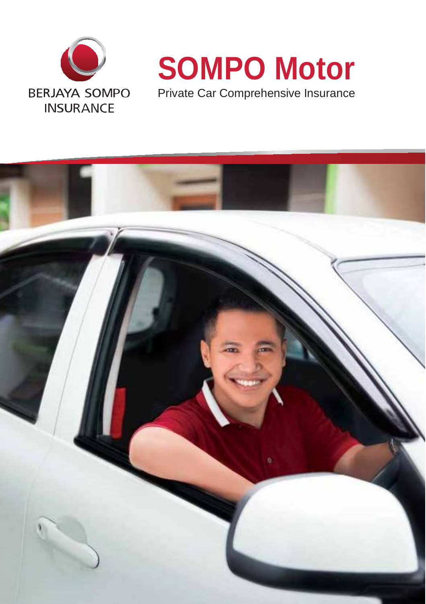



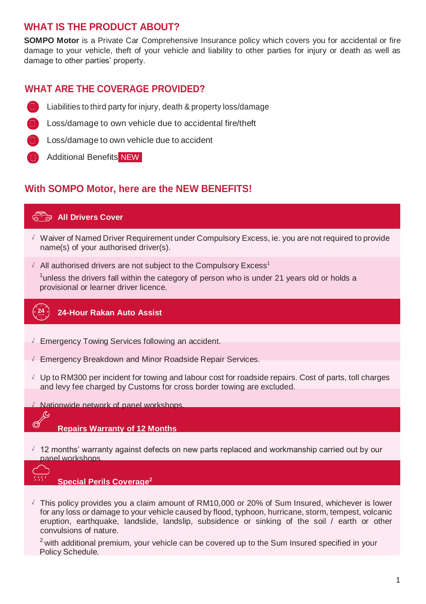## **WHAT IS THE PRODUCT ABOUT?**

**SOMPO Motor** is a Private Car Comprehensive Insurance policy which covers you for accidental or fire damage to your vehicle, theft of your vehicle and liability to other parties for injury or death as well as damage to other parties' property.

## **WHAT ARE THE COVERAGE PROVIDED?**

- Liabilities to third party for injury, death & property loss/damage
- Loss/damage to own vehicle due to accidental fire/theft
- Loss/damage to own vehicle due to accident
	- Additional Benefits NEW

## **With SOMPO Motor, here are the NEW BENEFITS!**

### **All Drivers Cover**

- ✓ Waiver of Named Driver Requirement under Compulsory Excess, ie. you are not required to provide name(s) of your authorised driver(s).
- $\sqrt{ }$  All authorised drivers are not subject to the Compulsory Excess<sup>1</sup>

<sup>1</sup>unless the drivers fall within the category of person who is under 21 years old or holds a provisional or learner driver licence.

#### **2424-Hour Rakan Auto Assist**

- ✓ Emergency Towing Services following an accident.
- ✓ Emergency Breakdown and Minor Roadside Repair Services.
- ✓ Up to RM300 per incident for towing and labour cost for roadside repairs. Cost of parts, toll charges and levy fee charged by Customs for cross border towing are excluded.

✓ Nationwide network of panel workshops.

**Repairs Warranty of 12 Months**

✓ 12 months' warranty against defects on new parts replaced and workmanship carried out by our panel workshops.



**Special Perils Coverage<sup>2</sup>**

 $\sqrt{2}$  This policy provides you a claim amount of RM10,000 or 20% of Sum Insured, whichever is lower for any loss or damage to your vehicle caused by flood, typhoon, hurricane, storm, tempest, volcanic eruption, earthquake, landslide, landslip, subsidence or sinking of the soil / earth or other convulsions of nature.

 $2$  with additional premium, your vehicle can be covered up to the Sum Insured specified in your Policy Schedule.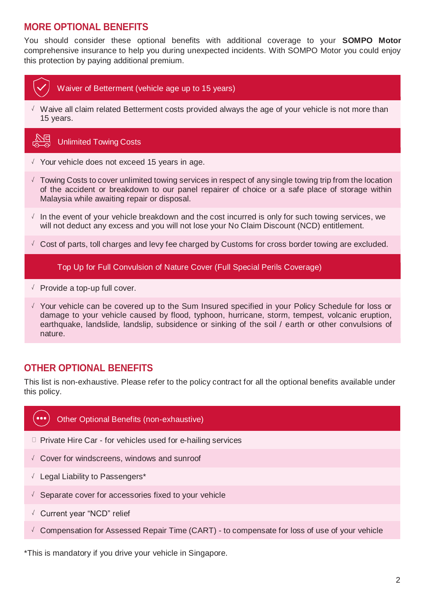## **MORE OPTIONAL BENEFITS**

You should consider these optional benefits with additional coverage to your **SOMPO Motor**  comprehensive insurance to help you during unexpected incidents. With SOMPO Motor you could enjoy this protection by paying additional premium.



#### Waiver of Betterment (vehicle age up to 15 years)

✓ Waive all claim related Betterment costs provided always the age of your vehicle is not more than 15 years.



#### Unlimited Towing Costs

- ✓ Your vehicle does not exceed 15 years in age.
- ✓ Towing Costs to cover unlimited towing services in respect of any single towing trip from the location of the accident or breakdown to our panel repairer of choice or a safe place of storage within Malaysia while awaiting repair or disposal.
- $\sqrt{2}$  In the event of your vehicle breakdown and the cost incurred is only for such towing services, we will not deduct any excess and you will not lose your No Claim Discount (NCD) entitlement.
- ✓ Cost of parts, toll charges and levy fee charged by Customs for cross border towing are excluded.

Top Up for Full Convulsion of Nature Cover (Full Special Perils Coverage)

- ✓ Provide a top-up full cover.
- ✓ Your vehicle can be covered up to the Sum Insured specified in your Policy Schedule for loss or damage to your vehicle caused by flood, typhoon, hurricane, storm, tempest, volcanic eruption, earthquake, landslide, landslip, subsidence or sinking of the soil / earth or other convulsions of nature.

### **OTHER OPTIONAL BENEFITS**

This list is non-exhaustive. Please refer to the policy contract for all the optional benefits available under this policy.



- □ Private Hire Car for vehicles used for e-hailing services
- ✓ Cover for windscreens, windows and sunroof
- ✓ Legal Liability to Passengers\*
- ✓ Separate cover for accessories fixed to your vehicle
- ✓ Current year "NCD" relief
- ✓ Compensation for Assessed Repair Time (CART) to compensate for loss of use of your vehicle

\*This is mandatory if you drive your vehicle in Singapore.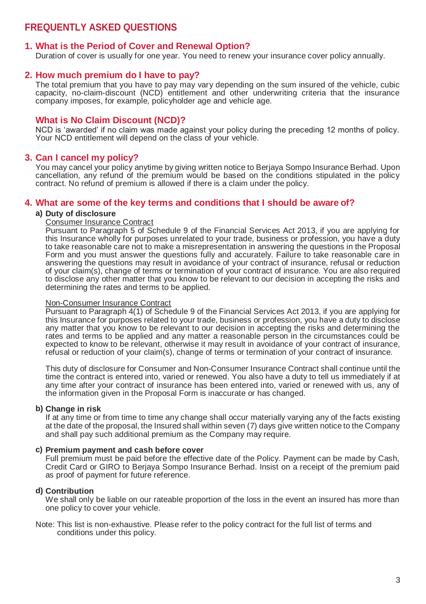## **FREQUENTLY ASKED QUESTIONS**

#### **1. What is the Period of Cover and Renewal Option?**

Duration of cover is usually for one year. You need to renew your insurance cover policy annually.

#### **2. How much premium do I have to pay?**

The total premium that you have to pay may vary depending on the sum insured of the vehicle, cubic capacity, no-claim-discount (NCD) entitlement and other underwriting criteria that the insurance company imposes, for example, policyholder age and vehicle age.

#### **What is No Claim Discount (NCD)?**

NCD is 'awarded' if no claim was made against your policy during the preceding 12 months of policy. Your NCD entitlement will depend on the class of your vehicle.

#### **3. Can I cancel my policy?**

You may cancel your policy anytime by giving written notice to Berjaya Sompo Insurance Berhad. Upon cancellation, any refund of the premium would be based on the conditions stipulated in the policy contract. No refund of premium is allowed if there is a claim under the policy.

#### **4. What are some of the key terms and conditions that I should be aware of?**

#### **a) Duty of disclosure**

#### Consumer Insurance Contract

Pursuant to Paragraph 5 of Schedule 9 of the Financial Services Act 2013, if you are applying for this Insurance wholly for purposes unrelated to your trade, business or profession, you have a duty to take reasonable care not to make a misrepresentation in answering the questions in the Proposal Form and you must answer the questions fully and accurately. Failure to take reasonable care in answering the questions may result in avoidance of your contract of insurance, refusal or reduction of your claim(s), change of terms or termination of your contract of insurance. You are also required to disclose any other matter that you know to be relevant to our decision in accepting the risks and determining the rates and terms to be applied.

#### Non-Consumer Insurance Contract

Pursuant to Paragraph 4(1) of Schedule 9 of the Financial Services Act 2013, if you are applying for this Insurance for purposes related to your trade, business or profession, you have a duty to disclose any matter that you know to be relevant to our decision in accepting the risks and determining the rates and terms to be applied and any matter a reasonable person in the circumstances could be expected to know to be relevant, otherwise it may result in avoidance of your contract of insurance, refusal or reduction of your claim(s), change of terms or termination of your contract of insurance.

This duty of disclosure for Consumer and Non-Consumer Insurance Contract shall continue until the time the contract is entered into, varied or renewed. You also have a duty to tell us immediately if at any time after your contract of insurance has been entered into, varied or renewed with us, any of the information given in the Proposal Form is inaccurate or has changed.

#### **b) Change in risk**

If at any time or from time to time any change shall occur materially varying any of the facts existing at the date of the proposal, the Insured shall within seven (7) days give written notice to the Company and shall pay such additional premium as the Company may require.

#### **c) Premium payment and cash before cover**

Full premium must be paid before the effective date of the Policy. Payment can be made by Cash, Credit Card or GIRO to Berjaya Sompo Insurance Berhad. Insist on a receipt of the premium paid as proof of payment for future reference.

#### **d) Contribution**

We shall only be liable on our rateable proportion of the loss in the event an insured has more than one policy to cover your vehicle.

Note: This list is non-exhaustive. Please refer to the policy contract for the full list of terms and conditions under this policy.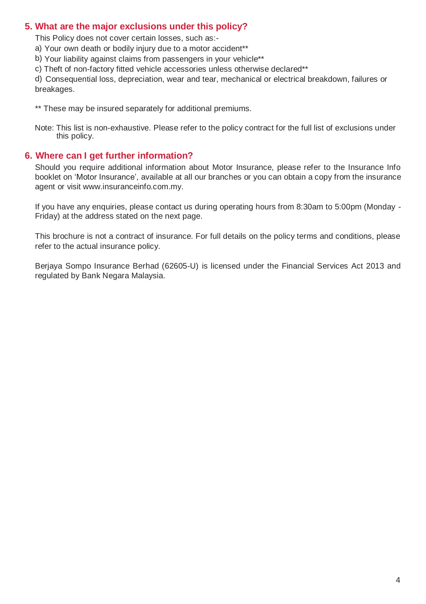### **5. What are the major exclusions under this policy?**

This Policy does not cover certain losses, such as:-

a) Your own death or bodily injury due to a motor accident\*\*

b) Your liability against claims from passengers in your vehicle\*\*

c) Theft of non-factory fitted vehicle accessories unless otherwise declared\*\*

d) Consequential loss, depreciation, wear and tear, mechanical or electrical breakdown, failures or breakages.

\*\* These may be insured separately for additional premiums.

Note: This list is non-exhaustive. Please refer to the policy contract for the full list of exclusions under this policy.

#### **6. Where can I get further information?**

Should you require additional information about Motor Insurance, please refer to the Insurance Info booklet on 'Motor Insurance', available at all our branches or you can obtain a copy from the insurance agent or visit [www.insuranceinfo.com.my.](http://www.insuranceinfo.com.my/)

If you have any enquiries, please contact us during operating hours from 8:30am to 5:00pm (Monday - Friday) at the address stated on the next page.

This brochure is not a contract of insurance. For full details on the policy terms and conditions, please refer to the actual insurance policy.

Berjaya Sompo Insurance Berhad (62605-U) is licensed under the Financial Services Act 2013 and regulated by Bank Negara Malaysia.